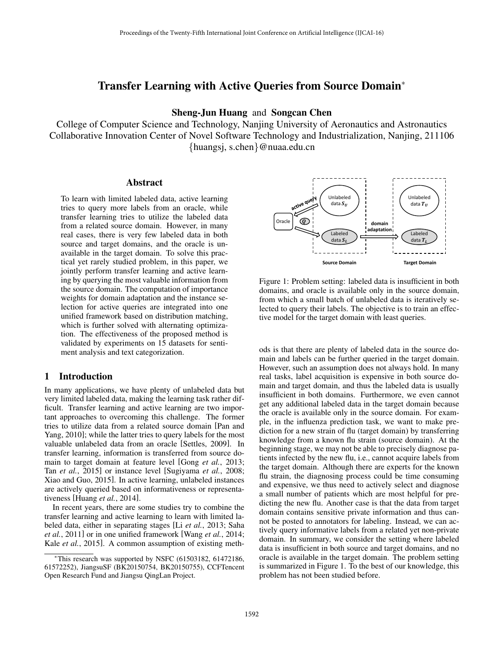# Transfer Learning with Active Queries from Source Domain<sup>\*</sup>

## Sheng-Jun Huang and Songcan Chen

College of Computer Science and Technology, Nanjing University of Aeronautics and Astronautics Collaborative Innovation Center of Novel Software Technology and Industrialization, Nanjing, 211106 *{*huangsj, s.chen*}*@nuaa.edu.cn

### Abstract

To learn with limited labeled data, active learning tries to query more labels from an oracle, while transfer learning tries to utilize the labeled data from a related source domain. However, in many real cases, there is very few labeled data in both source and target domains, and the oracle is unavailable in the target domain. To solve this practical yet rarely studied problem, in this paper, we jointly perform transfer learning and active learning by querying the most valuable information from the source domain. The computation of importance weights for domain adaptation and the instance selection for active queries are integrated into one unified framework based on distribution matching, which is further solved with alternating optimization. The effectiveness of the proposed method is validated by experiments on 15 datasets for sentiment analysis and text categorization.

### 1 Introduction

In many applications, we have plenty of unlabeled data but very limited labeled data, making the learning task rather difficult. Transfer learning and active learning are two important approaches to overcoming this challenge. The former tries to utilize data from a related source domain [Pan and Yang, 2010]; while the latter tries to query labels for the most valuable unlabeled data from an oracle [Settles, 2009]. In transfer learning, information is transferred from source domain to target domain at feature level [Gong *et al.*, 2013; Tan *et al.*, 2015] or instance level [Sugiyama *et al.*, 2008; Xiao and Guo, 2015]. In active learning, unlabeled instances are actively queried based on informativeness or representativeness [Huang *et al.*, 2014].

In recent years, there are some studies try to combine the transfer learning and active learning to learn with limited labeled data, either in separating stages [Li *et al.*, 2013; Saha *et al.*, 2011] or in one unified framework [Wang *et al.*, 2014; Kale *et al.*, 2015]. A common assumption of existing meth-



Figure 1: Problem setting: labeled data is insufficient in both domains, and oracle is available only in the source domain, from which a small batch of unlabeled data is iteratively selected to query their labels. The objective is to train an effective model for the target domain with least queries.

ods is that there are plenty of labeled data in the source domain and labels can be further queried in the target domain. However, such an assumption does not always hold. In many real tasks, label acquisition is expensive in both source domain and target domain, and thus the labeled data is usually insufficient in both domains. Furthermore, we even cannot get any additional labeled data in the target domain because the oracle is available only in the source domain. For example, in the influenza prediction task, we want to make prediction for a new strain of flu (target domain) by transferring knowledge from a known flu strain (source domain). At the beginning stage, we may not be able to precisely diagnose patients infected by the new flu, i.e., cannot acquire labels from the target domain. Although there are experts for the known flu strain, the diagnosing process could be time consuming and expensive, we thus need to actively select and diagnose a small number of patients which are most helpful for predicting the new flu. Another case is that the data from target domain contains sensitive private information and thus cannot be posted to annotators for labeling. Instead, we can actively query informative labels from a related yet non-private domain. In summary, we consider the setting where labeled data is insufficient in both source and target domains, and no oracle is available in the target domain. The problem setting is summarized in Figure 1. To the best of our knowledge, this problem has not been studied before.

<sup>⇤</sup>This research was supported by NSFC (61503182, 61472186, 61572252), JiangsuSF (BK20150754, BK20150755), CCFTencent Open Research Fund and Jiangsu QingLan Project.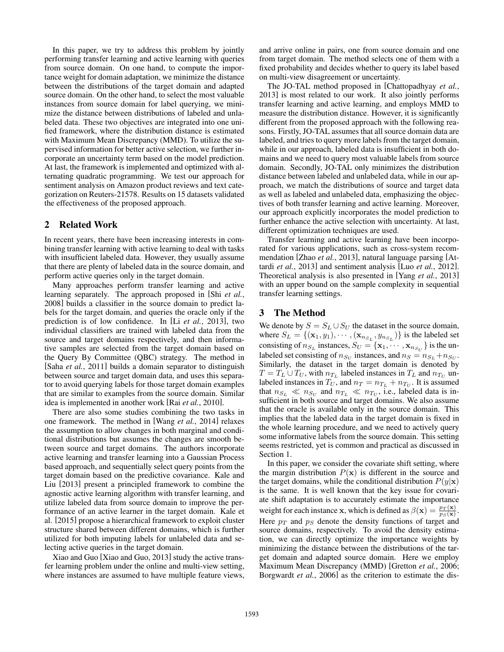In this paper, we try to address this problem by jointly performing transfer learning and active learning with queries from source domain. On one hand, to compute the importance weight for domain adaptation, we minimize the distance between the distributions of the target domain and adapted source domain. On the other hand, to select the most valuable instances from source domain for label querying, we minimize the distance between distributions of labeled and unlabeled data. These two objectives are integrated into one unified framework, where the distribution distance is estimated with Maximum Mean Discrepancy (MMD). To utilize the supervised information for better active selection, we further incorporate an uncertainty term based on the model prediction. At last, the framework is implemented and optimized with alternating quadratic programming. We test our approach for sentiment analysis on Amazon product reviews and text categorization on Reuters-21578. Results on 15 datasets validated the effectiveness of the proposed approach.

## 2 Related Work

In recent years, there have been increasing interests in combining transfer learning with active learning to deal with tasks with insufficient labeled data. However, they usually assume that there are plenty of labeled data in the source domain, and perform active queries only in the target domain.

Many approaches perform transfer learning and active learning separately. The approach proposed in [Shi *et al.*, 2008] builds a classifier in the source domain to predict labels for the target domain, and queries the oracle only if the prediction is of low confidence. In [Li *et al.*, 2013], two individual classifiers are trained with labeled data from the source and target domains respectively, and then informative samples are selected from the target domain based on the Query By Committee (QBC) strategy. The method in [Saha *et al.*, 2011] builds a domain separator to distinguish between source and target domain data, and uses this separator to avoid querying labels for those target domain examples that are similar to examples from the source domain. Similar idea is implemented in another work [Rai *et al.*, 2010].

There are also some studies combining the two tasks in one framework. The method in [Wang *et al.*, 2014] relaxes the assumption to allow changes in both marginal and conditional distributions but assumes the changes are smooth between source and target domains. The authors incorporate active learning and transfer learning into a Gaussian Process based approach, and sequentially select query points from the target domain based on the predictive covariance. Kale and Liu [2013] present a principled framework to combine the agnostic active learning algorithm with transfer learning, and utilize labeled data from source domain to improve the performance of an active learner in the target domain. Kale et al. [2015] propose a hierarchical framework to exploit cluster structure shared between different domains, which is further utilized for both imputing labels for unlabeled data and selecting active queries in the target domain.

Xiao and Guo [Xiao and Guo, 2013] study the active transfer learning problem under the online and multi-view setting, where instances are assumed to have multiple feature views, and arrive online in pairs, one from source domain and one from target domain. The method selects one of them with a fixed probability and decides whether to query its label based on multi-view disagreement or uncertainty.

The JO-TAL method proposed in [Chattopadhyay *et al.*, 2013] is most related to our work. It also jointly performs transfer learning and active learning, and employs MMD to measure the distribution distance. However, it is significantly different from the proposed approach with the following reasons. Firstly, JO-TAL assumes that all source domain data are labeled, and tries to query more labels from the target domain, while in our approach, labeled data is insufficient in both domains and we need to query most valuable labels from source domain. Secondly, JO-TAL only minimizes the distribution distance between labeled and unlabeled data, while in our approach, we match the distributions of source and target data as well as labeled and unlabeled data, emphasizing the objectives of both transfer learning and active learning. Moreover, our approach explicitly incorporates the model prediction to further enhance the active selection with uncertainty. At last, different optimization techniques are used.

Transfer learning and active learning have been incorporated for various applications, such as cross-system recommendation [Zhao *et al.*, 2013], natural language parsing [Attardi *et al.*, 2013] and sentiment analysis [Luo *et al.*, 2012]. Theoretical analysis is also presented in [Yang *et al.*, 2013] with an upper bound on the sample complexity in sequential transfer learning settings.

## 3 The Method

We denote by  $S = S_L \cup S_U$  the dataset in the source domain, where  $S_L = \{(\mathbf{x}_1, y_1), \cdots, (\mathbf{x}_{n_{S_L}}, y_{n_{S_L}})\}\$  is the labeled set consisting of  $n_{S_L}$  instances,  $S_U = {\mathbf{x}_1, \cdots, \mathbf{x}_{n_{S_U}}}$  is the unlabeled set consisting of  $n_{S_U}$  instances, and  $n_S = n_{S_L} + n_{S_U}$ . Similarly, the dataset in the target domain is denoted by  $T = T_L \cup T_U$ , with  $n_{T_L}$  labeled instances in  $T_L$  and  $n_{T_U}$  unlabeled instances in  $T_U$ , and  $n_T = n_{T_L} + n_{T_U}$ . It is assumed that  $n_{S_L} \ll n_{S_U}$  and  $n_{T_L} \ll n_{T_U}$ , i.e., labeled data is insufficient in both source and target domains. We also assume that the oracle is available only in the source domain. This implies that the labeled data in the target domain is fixed in the whole learning procedure, and we need to actively query some informative labels from the source domain. This setting seems restricted, yet is common and practical as discussed in Section 1.

In this paper, we consider the covariate shift setting, where the margin distribution  $P(x)$  is different in the source and the target domains, while the conditional distribution  $P(y|\mathbf{x})$ is the same. It is well known that the key issue for covariate shift adaptation is to accurately estimate the importance weight for each instance **x**, which is defined as  $\beta(\mathbf{x}) = \frac{p_T(\mathbf{x})}{p_S(\mathbf{x})}$ . Here  $p_T$  and  $p_S$  denote the density functions of target and source domains, respectively. To avoid the density estimation, we can directly optimize the importance weights by minimizing the distance between the distributions of the target domain and adapted source domain. Here we employ Maximum Mean Discrepancy (MMD) [Gretton *et al.*, 2006; Borgwardt *et al.*, 2006] as the criterion to estimate the dis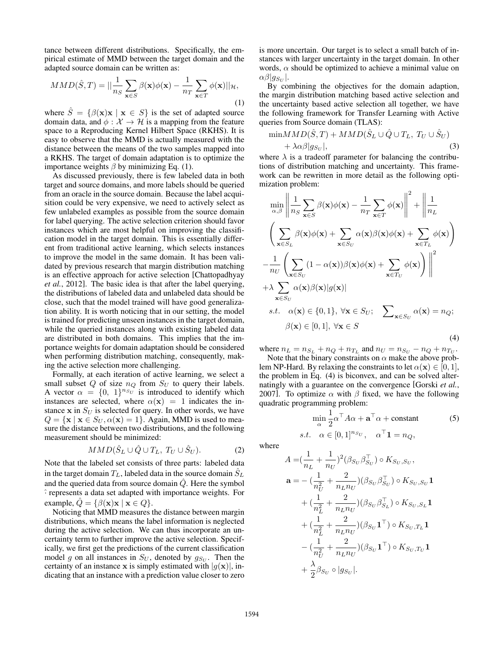tance between different distributions. Specifically, the empirical estimate of MMD between the target domain and the adapted source domain can be written as:

$$
MMD(\hat{S},T) = ||\frac{1}{n_S} \sum_{\mathbf{x} \in S} \beta(\mathbf{x}) \phi(\mathbf{x}) - \frac{1}{n_T} \sum_{\mathbf{x} \in T} \phi(\mathbf{x}) ||_{\mathcal{H}},
$$
\n(1)

where  $\hat{S} = \{ \beta(\mathbf{x})\mathbf{x} \mid \mathbf{x} \in S \}$  is the set of adapted source domain data, and  $\phi : \mathcal{X} \to \mathcal{H}$  is a mapping from the feature space to a Reproducing Kernel Hilbert Space (RKHS). It is easy to observe that the MMD is actually measured with the distance between the means of the two samples mapped into a RKHS. The target of domain adaptation is to optimize the importance weights  $\beta$  by minimizing Eq. (1).

As discussed previously, there is few labeled data in both target and source domains, and more labels should be queried from an oracle in the source domain. Because the label acquisition could be very expensive, we need to actively select as few unlabeled examples as possible from the source domain for label querying. The active selection criterion should favor instances which are most helpful on improving the classification model in the target domain. This is essentially different from traditional active learning, which selects instances to improve the model in the same domain. It has been validated by previous research that margin distribution matching is an effective approach for active selection [Chattopadhyay *et al.*, 2012]. The basic idea is that after the label querying, the distributions of labeled data and unlabeled data should be close, such that the model trained will have good generalization ability. It is worth noticing that in our setting, the model is trained for predicting unseen instances in the target domain, while the queried instances along with existing labeled data are distributed in both domains. This implies that the importance weights for domain adaptation should be considered when performing distribution matching, consequently, making the active selection more challenging.

Formally, at each iteration of active learning, we select a small subset  $Q$  of size  $n_Q$  from  $S_U$  to query their labels. A vector  $\alpha = \{0, 1\}^{n_{\mathcal{S}_U}}$  is introduced to identify which instances are selected, where  $\alpha(\mathbf{x})=1$  indicates the instance  $x$  in  $S_U$  is selected for query. In other words, we have  $Q = {\mathbf{x} \mid \mathbf{x} \in S_U, \alpha(\mathbf{x})=1}.$  Again, MMD is used to measure the distance between two distributions, and the following measurement should be minimized:

$$
MMD(\hat{S}_L \cup \hat{Q} \cup T_L, T_U \cup \hat{S}_U).
$$
 (2)

Note that the labeled set consists of three parts: labeled data in the target domain  $T_L$ , labeled data in the source domain  $\hat{S}_L$ and the queried data from source domain *Q*ˆ. Here the symbol ˆ*·* represents a data set adapted with importance weights. For example,  $\hat{Q} = \{ \beta(\mathbf{x}) \mathbf{x} \mid \mathbf{x} \in Q \}.$ 

Noticing that MMD measures the distance between margin distributions, which means the label information is neglected during the active selection. We can thus incorporate an uncertainty term to further improve the active selection. Specifically, we first get the predictions of the current classification model *g* on all instances in  $S_U$ , denoted by  $g_{S_U}$ . Then the certainty of an instance **x** is simply estimated with  $|g(\mathbf{x})|$ , indicating that an instance with a prediction value closer to zero is more uncertain. Our target is to select a small batch of instances with larger uncertainty in the target domain. In other words,  $\alpha$  should be optimized to achieve a minimal value on  $\alpha\beta|g_{S_U}|.$ 

By combining the objectives for the domain adaption, the margin distribution matching based active selection and the uncertainty based active selection all together, we have the following framework for Transfer Learning with Active queries from Source domain (TLAS):

$$
\min MMD(\hat{S}, T) + MMD(\hat{S}_L \cup \hat{Q} \cup T_L, T_U \cup \hat{S}_U) + \lambda \alpha \beta |g_{S_U}|,
$$
\n(3)

where  $\lambda$  is a tradeoff parameter for balancing the contributions of distribution matching and uncertainty. This framework can be rewritten in more detail as the following optimization problem:

$$
\min_{\alpha,\beta} \left\| \frac{1}{n_S} \sum_{\mathbf{x} \in S} \beta(\mathbf{x}) \phi(\mathbf{x}) - \frac{1}{n_T} \sum_{\mathbf{x} \in T} \phi(\mathbf{x}) \right\|^2 + \left\| \frac{1}{n_L} \right\|
$$
\n
$$
\left( \sum_{\mathbf{x} \in S_L} \beta(\mathbf{x}) \phi(\mathbf{x}) + \sum_{\mathbf{x} \in S_U} \alpha(\mathbf{x}) \beta(\mathbf{x}) \phi(\mathbf{x}) + \sum_{\mathbf{x} \in T_L} \phi(\mathbf{x}) \right)
$$
\n
$$
- \frac{1}{n_U} \left( \sum_{\mathbf{x} \in S_U} (1 - \alpha(\mathbf{x})) \beta(\mathbf{x}) \phi(\mathbf{x}) + \sum_{\mathbf{x} \in T_U} \phi(\mathbf{x}) \right) \right\|^2
$$
\n
$$
+ \lambda \sum_{\mathbf{x} \in S_U} \alpha(\mathbf{x}) \beta(\mathbf{x}) |g(\mathbf{x})|
$$
\n*s.t.*  $\alpha(\mathbf{x}) \in \{0, 1\}, \forall \mathbf{x} \in S_U; \sum_{\mathbf{x} \in S_U} \alpha(\mathbf{x}) = n_Q; \beta(\mathbf{x}) \in [0, 1], \forall \mathbf{x} \in S$ \n(4)

where  $n_L = n_{S_L} + n_Q + n_{T_L}$  and  $n_U = n_{S_U} - n_Q + n_{T_U}$ .

Note that the binary constraints on  $\alpha$  make the above problem NP-Hard. By relaxing the constraints to let  $\alpha(\mathbf{x}) \in [0, 1]$ , the problem in Eq. (4) is biconvex, and can be solved alternatingly with a guarantee on the convergence [Gorski *et al.*, 2007]. To optimize  $\alpha$  with  $\beta$  fixed, we have the following quadratic programming problem:

$$
\min_{\alpha} \frac{1}{2} \alpha^{\top} A \alpha + \mathbf{a}^{\top} \alpha + \text{constant} \tag{5}
$$
  
s.t.  $\alpha \in [0, 1]^{n_{SU}}, \quad \alpha^{\top} \mathbf{1} = n_Q$ ,

where

$$
A = \left(\frac{1}{n_L} + \frac{1}{n_U}\right)^2 (\beta_{S_U} \beta_{S_U}^\top) \circ K_{S_U, S_U},
$$
  
\n
$$
\mathbf{a} = -\left(\frac{1}{n_U^2} + \frac{2}{n_L n_U}\right) (\beta_{S_U} \beta_{S_U}^\top) \circ K_{S_U, S_U} \mathbf{1}
$$
  
\n
$$
+\left(\frac{1}{n_L^2} + \frac{2}{n_L n_U}\right) (\beta_{S_U} \beta_{S_L}^\top) \circ K_{S_U, S_L} \mathbf{1}
$$
  
\n
$$
+\left(\frac{1}{n_L^2} + \frac{2}{n_L n_U}\right) (\beta_{S_U} \mathbf{1}^\top) \circ K_{S_U, T_L} \mathbf{1}
$$
  
\n
$$
-\left(\frac{1}{n_U^2} + \frac{2}{n_L n_U}\right) (\beta_{S_U} \mathbf{1}^\top) \circ K_{S_U, T_U} \mathbf{1}
$$
  
\n
$$
+\frac{\lambda}{2} \beta_{S_U} \circ |g_{S_U}|.
$$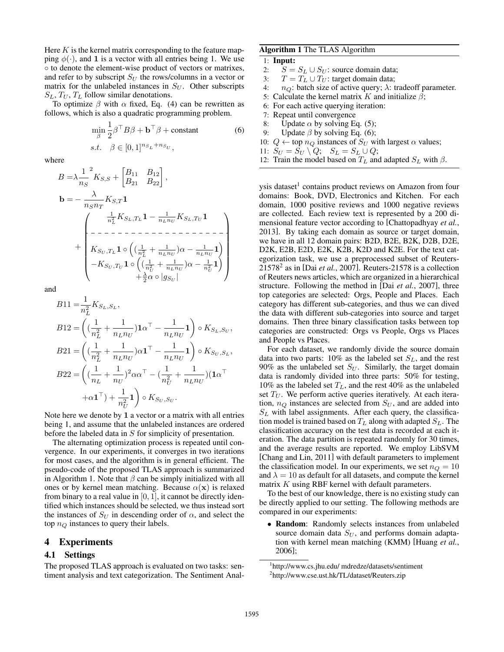Here *K* is the kernel matrix corresponding to the feature mapping  $\phi(\cdot)$ , and 1 is a vector with all entries being 1. We use  $\circ$  to denote the element-wise product of vectors or matrixes, and refer to by subscript  $S_U$  the rows/columns in a vector or matrix for the unlabeled instances in  $S_U$ . Other subscripts  $S_L$ ,  $T_U$ ,  $T_L$  follow similar denotations.

To optimize  $\beta$  with  $\alpha$  fixed, Eq. (4) can be rewritten as follows, which is also a quadratic programming problem.

$$
\min_{\beta} \frac{1}{2} \beta^{\top} B \beta + \mathbf{b}^{\top} \beta + \text{constant}
$$
\n
$$
s.t. \quad \beta \in [0, 1]^{n_{S_L} + n_{S_U}},
$$
\n(6)

where

*<sup>B</sup>* <sup>=</sup> <sup>1</sup> *n<sup>S</sup>* 2 *KS,S* + *B*<sup>11</sup> *B*<sup>12</sup> *<sup>B</sup>*<sup>21</sup> *<sup>B</sup>*22 *,* <sup>b</sup> <sup>=</sup> *nSn<sup>T</sup> KS,T* 1 + 0 BBBBBBBB@ 1 *n*<sup>2</sup> *L <sup>K</sup><sup>S</sup>L,T<sup>L</sup>* <sup>1</sup> <sup>1</sup> *<sup>n</sup>Ln<sup>U</sup> K<sup>S</sup>L,T<sup>U</sup>* 1 *K<sup>S</sup><sup>U</sup> ,T<sup>L</sup>* 1 ⇣ ( <sup>1</sup> *n*<sup>2</sup> *L* + <sup>1</sup> *<sup>n</sup>Ln<sup>U</sup>* )↵ <sup>1</sup> *<sup>n</sup>Ln<sup>U</sup>* 1 ⌘ *K<sup>S</sup><sup>U</sup> ,T<sup>U</sup>* 1 ⇣ ( <sup>1</sup> *n*<sup>2</sup> *U* + <sup>1</sup> *<sup>n</sup>Ln<sup>U</sup>* )↵ <sup>1</sup> *n*<sup>2</sup> *U* 1 ⌘ + <sup>2</sup>↵ *|g<sup>S</sup><sup>U</sup> |* 1 CCCCCCCCA

and

$$
B11 = \frac{1}{n_L^2} K_{S_L, S_L},
$$
  
\n
$$
B12 = \left( (\frac{1}{n_L^2} + \frac{1}{n_L n_U}) \mathbf{1} \alpha^\top - \frac{1}{n_L n_U} \mathbf{1} \right) \circ K_{S_L, S_U},
$$
  
\n
$$
B21 = \left( (\frac{1}{n_L^2} + \frac{1}{n_L n_U}) \alpha \mathbf{1}^\top - \frac{1}{n_L n_U} \mathbf{1} \right) \circ K_{S_U, S_L},
$$
  
\n
$$
B22 = \left( (\frac{1}{n_L} + \frac{1}{n_U})^2 \alpha \alpha^\top - (\frac{1}{n_U^2} + \frac{1}{n_L n_U}) (\mathbf{1} \alpha^\top + \alpha \mathbf{1}^\top) + \frac{1}{n_U^2} \mathbf{1} \right) \circ K_{S_U, S_U}.
$$

Note here we denote by 1 a vector or a matrix with all entries being 1, and assume that the unlabeled instances are ordered before the labeled data in *S* for simplicity of presentation.

The alternating optimization process is repeated until convergence. In our experiments, it converges in two iterations for most cases, and the algorithm is in general efficient. The pseudo-code of the proposed TLAS approach is summarized in Algorithm 1. Note that  $\beta$  can be simply initialized with all ones or by kernel mean matching. Because  $\alpha(\mathbf{x})$  is relaxed from binary to a real value in [0*,* 1], it cannot be directly identified which instances should be selected, we thus instead sort the instances of  $S_U$  in descending order of  $\alpha$ , and select the top *n<sup>Q</sup>* instances to query their labels.

## 4 Experiments

#### 4.1 Settings

The proposed TLAS approach is evaluated on two tasks: sentiment analysis and text categorization. The Sentiment Anal-

## Algorithm 1 The TLAS Algorithm

# 1: Input:

- 2:  $S = S_L \cup S_U$ : source domain data;<br>3:  $T = T_L \cup T_U$ : target domain data;
- 3:  $T = T_L \cup T_U$ : target domain data;<br>4:  $n_O$ : batch size of active query:  $\lambda$ : t
- $n_Q$ : batch size of active query;  $\lambda$ : tradeoff parameter.
- 5: Calculate the kernel matrix *K* and initialize  $\beta$ ;
- 6: For each active querying iteration:
- 7: Repeat until convergence
- 8: Update  $\alpha$  by solving Eq. (5);
- 9: Update  $\beta$  by solving Eq. (6);
- 10:  $Q \leftarrow$  top  $n_Q$  instances of  $S_U$  with largest  $\alpha$  values;
- 11:  $S_U = S_U \setminus Q; \quad S_L = S_L \cup Q;$
- 12: Train the model based on  $T_L$  and adapted  $S_L$  with  $\beta$ .

ysis dataset<sup>1</sup> contains product reviews on Amazon from four domains: Book, DVD, Electronics and Kitchen. For each domain, 1000 positive reviews and 1000 negative reviews are collected. Each review text is represented by a 200 dimensional feature vector according to [Chattopadhyay *et al.*, 2013]. By taking each domain as source or target domain, we have in all 12 domain pairs: B2D, B2E, B2K, D2B, D2E, D2K, E2B, E2D, E2K, K2B, K2D and K2E. For the text categorization task, we use a preprocessed subset of Reuters- $21578<sup>2</sup>$  as in [Dai *et al.*, 2007]. Reuters-21578 is a collection of Reuters news articles, which are organized in a hierarchical structure. Following the method in [Dai *et al.*, 2007], three top categories are selected: Orgs, People and Places. Each category has different sub-categories, and thus we can dived the data with different sub-categories into source and target domains. Then three binary classification tasks between top categories are constructed: Orgs vs People, Orgs vs Places and People vs Places.

For each dataset, we randomly divide the source domain data into two parts: 10% as the labeled set *SL*, and the rest 90% as the unlabeled set  $S_U$ . Similarly, the target domain data is randomly divided into three parts: 50% for testing, 10% as the labeled set  $T_L$ , and the rest 40% as the unlabeled set  $T_U$ . We perform active queries iteratively. At each iteration,  $n_Q$  instances are selected from  $S_U$ , and are added into  $S_L$  with label assignments. After each query, the classification model is trained based on *T<sup>L</sup>* along with adapted *SL*. The classification accuracy on the test data is recorded at each iteration. The data partition is repeated randomly for 30 times, and the average results are reported. We employ LibSVM [Chang and Lin, 2011] with default parameters to implement the classification model. In our experiments, we set  $n_Q = 10$ and  $\lambda = 10$  as default for all datasets, and compute the kernel matrix *K* using RBF kernel with default parameters.

To the best of our knowledge, there is no existing study can be directly applied to our setting. The following methods are compared in our experiments:

*•* Random: Randomly selects instances from unlabeled source domain data *S<sup>U</sup>* , and performs domain adaptation with kernel mean matching (KMM) [Huang *et al.*, 2006];

<sup>1</sup> http://www.cs.jhu.edu/ mdredze/datasets/sentiment

<sup>2</sup> http://www.cse.ust.hk/TL/dataset/Reuters.zip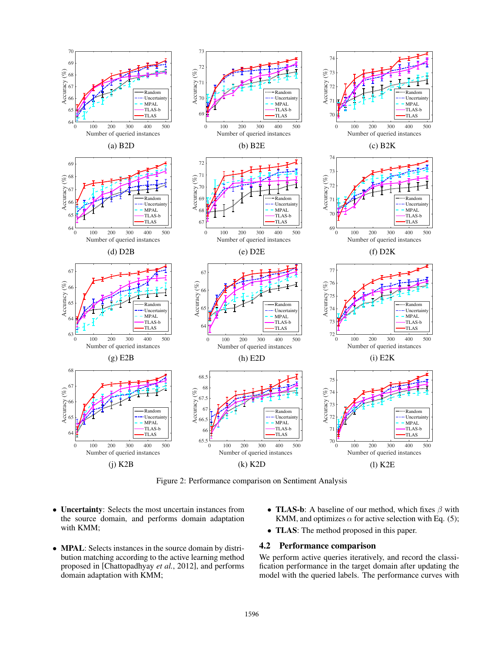

Figure 2: Performance comparison on Sentiment Analysis

- *•* Uncertainty: Selects the most uncertain instances from the source domain, and performs domain adaptation with KMM;
- *•* MPAL: Selects instances in the source domain by distribution matching according to the active learning method proposed in [Chattopadhyay *et al.*, 2012], and performs domain adaptation with KMM;
- TLAS-b: A baseline of our method, which fixes  $\beta$  with KMM, and optimizes  $\alpha$  for active selection with Eq. (5);
- *•* TLAS: The method proposed in this paper.

### 4.2 Performance comparison

We perform active queries iteratively, and record the classification performance in the target domain after updating the model with the queried labels. The performance curves with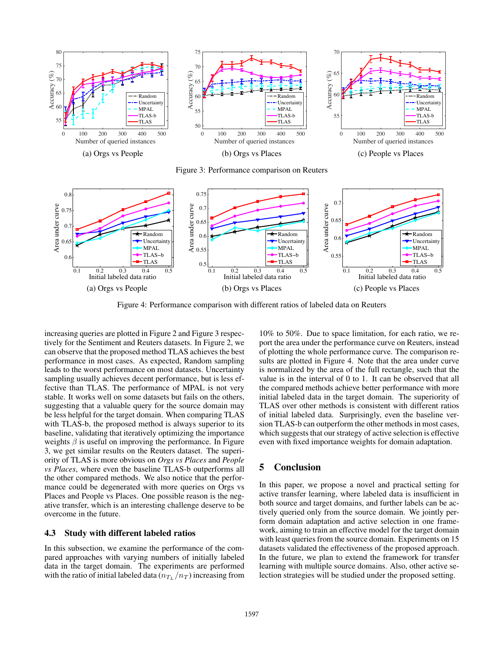

Figure 3: Performance comparison on Reuters



Figure 4: Performance comparison with different ratios of labeled data on Reuters

increasing queries are plotted in Figure 2 and Figure 3 respectively for the Sentiment and Reuters datasets. In Figure 2, we can observe that the proposed method TLAS achieves the best performance in most cases. As expected, Random sampling leads to the worst performance on most datasets. Uncertainty sampling usually achieves decent performance, but is less effective than TLAS. The performance of MPAL is not very stable. It works well on some datasets but fails on the others, suggesting that a valuable query for the source domain may be less helpful for the target domain. When comparing TLAS with TLAS-b, the proposed method is always superior to its baseline, validating that iteratively optimizing the importance weights  $\beta$  is useful on improving the performance. In Figure 3, we get similar results on the Reuters dataset. The superiority of TLAS is more obvious on *Orgs vs Places* and *People vs Places*, where even the baseline TLAS-b outperforms all the other compared methods. We also notice that the performance could be degenerated with more queries on Orgs vs Places and People vs Places. One possible reason is the negative transfer, which is an interesting challenge deserve to be overcome in the future.

## 4.3 Study with different labeled ratios

In this subsection, we examine the performance of the compared approaches with varying numbers of initially labeled data in the target domain. The experiments are performed with the ratio of initial labeled data  $(n_T / n_T)$  increasing from

10% to 50%. Due to space limitation, for each ratio, we report the area under the performance curve on Reuters, instead of plotting the whole performance curve. The comparison results are plotted in Figure 4. Note that the area under curve is normalized by the area of the full rectangle, such that the value is in the interval of 0 to 1. It can be observed that all the compared methods achieve better performance with more initial labeled data in the target domain. The superiority of TLAS over other methods is consistent with different ratios of initial labeled data. Surprisingly, even the baseline version TLAS-b can outperform the other methods in most cases, which suggests that our strategy of active selection is effective even with fixed importance weights for domain adaptation.

# 5 Conclusion

In this paper, we propose a novel and practical setting for active transfer learning, where labeled data is insufficient in both source and target domains, and further labels can be actively queried only from the source domain. We jointly perform domain adaptation and active selection in one framework, aiming to train an effective model for the target domain with least queries from the source domain. Experiments on 15 datasets validated the effectiveness of the proposed approach. In the future, we plan to extend the framework for transfer learning with multiple source domains. Also, other active selection strategies will be studied under the proposed setting.